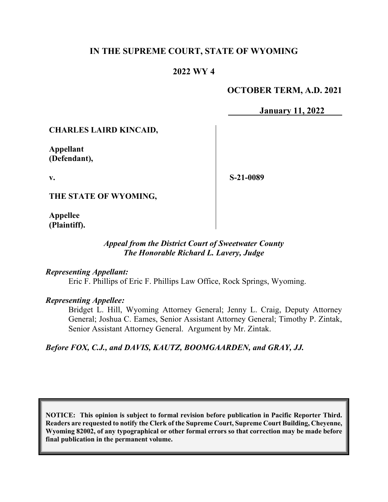### **IN THE SUPREME COURT, STATE OF WYOMING**

### **2022 WY 4**

### **OCTOBER TERM, A.D. 2021**

**January 11, 2022**

#### **CHARLES LAIRD KINCAID,**

**Appellant (Defendant),**

**v.**

**S-21-0089**

**THE STATE OF WYOMING,**

**Appellee (Plaintiff).**

### *Appeal from the District Court of Sweetwater County The Honorable Richard L. Lavery, Judge*

#### *Representing Appellant:*

Eric F. Phillips of Eric F. Phillips Law Office, Rock Springs, Wyoming.

#### *Representing Appellee:*

Bridget L. Hill, Wyoming Attorney General; Jenny L. Craig, Deputy Attorney General; Joshua C. Eames, Senior Assistant Attorney General; Timothy P. Zintak, Senior Assistant Attorney General. Argument by Mr. Zintak.

#### *Before FOX, C.J., and DAVIS, KAUTZ, BOOMGAARDEN, and GRAY, JJ.*

**NOTICE: This opinion is subject to formal revision before publication in Pacific Reporter Third. Readers are requested to notify the Clerk of the Supreme Court, Supreme Court Building, Cheyenne, Wyoming 82002, of any typographical or other formal errors so that correction may be made before final publication in the permanent volume.**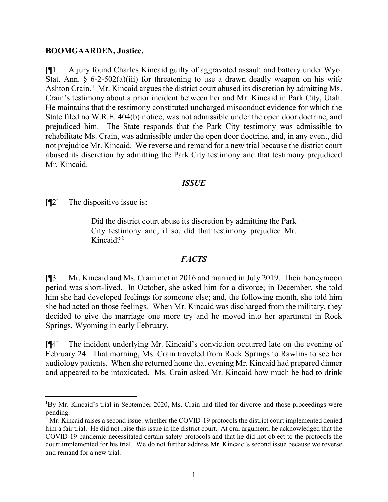#### **BOOMGAARDEN, Justice.**

[¶1] A jury found Charles Kincaid guilty of aggravated assault and battery under Wyo. Stat. Ann. §  $6-2-502(a)(iii)$  for threatening to use a drawn deadly weapon on his wife Ashton Crain.<sup>[1](#page-1-0)</sup> Mr. Kincaid argues the district court abused its discretion by admitting Ms. Crain's testimony about a prior incident between her and Mr. Kincaid in Park City, Utah. He maintains that the testimony constituted uncharged misconduct evidence for which the State filed no W.R.E. 404(b) notice, was not admissible under the open door doctrine, and prejudiced him. The State responds that the Park City testimony was admissible to rehabilitate Ms. Crain, was admissible under the open door doctrine, and, in any event, did not prejudice Mr. Kincaid. We reverse and remand for a new trial because the district court abused its discretion by admitting the Park City testimony and that testimony prejudiced Mr. Kincaid.

#### *ISSUE*

[¶2] The dispositive issue is:

Did the district court abuse its discretion by admitting the Park City testimony and, if so, did that testimony prejudice Mr. Kincaid?<sup>[2](#page-1-1)</sup>

#### *FACTS*

[¶3] Mr. Kincaid and Ms. Crain met in 2016 and married in July 2019. Their honeymoon period was short-lived. In October, she asked him for a divorce; in December, she told him she had developed feelings for someone else; and, the following month, she told him she had acted on those feelings. When Mr. Kincaid was discharged from the military, they decided to give the marriage one more try and he moved into her apartment in Rock Springs, Wyoming in early February.

[¶4] The incident underlying Mr. Kincaid's conviction occurred late on the evening of February 24. That morning, Ms. Crain traveled from Rock Springs to Rawlins to see her audiology patients. When she returned home that evening Mr. Kincaid had prepared dinner and appeared to be intoxicated. Ms. Crain asked Mr. Kincaid how much he had to drink

<span id="page-1-0"></span><sup>&</sup>lt;sup>1</sup>By Mr. Kincaid's trial in September 2020, Ms. Crain had filed for divorce and those proceedings were pending.

<span id="page-1-1"></span> $2$  Mr. Kincaid raises a second issue: whether the COVID-19 protocols the district court implemented denied him a fair trial. He did not raise this issue in the district court. At oral argument, he acknowledged that the COVID-19 pandemic necessitated certain safety protocols and that he did not object to the protocols the court implemented for his trial. We do not further address Mr. Kincaid's second issue because we reverse and remand for a new trial.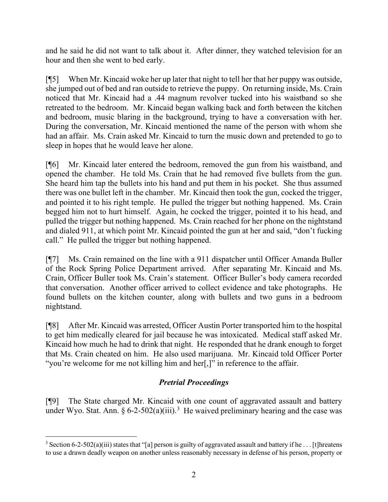and he said he did not want to talk about it. After dinner, they watched television for an hour and then she went to bed early.

[¶5] When Mr. Kincaid woke her up later that night to tell her that her puppy was outside, she jumped out of bed and ran outside to retrieve the puppy. On returning inside, Ms. Crain noticed that Mr. Kincaid had a .44 magnum revolver tucked into his waistband so she retreated to the bedroom. Mr. Kincaid began walking back and forth between the kitchen and bedroom, music blaring in the background, trying to have a conversation with her. During the conversation, Mr. Kincaid mentioned the name of the person with whom she had an affair. Ms. Crain asked Mr. Kincaid to turn the music down and pretended to go to sleep in hopes that he would leave her alone.

[¶6] Mr. Kincaid later entered the bedroom, removed the gun from his waistband, and opened the chamber. He told Ms. Crain that he had removed five bullets from the gun. She heard him tap the bullets into his hand and put them in his pocket. She thus assumed there was one bullet left in the chamber. Mr. Kincaid then took the gun, cocked the trigger, and pointed it to his right temple. He pulled the trigger but nothing happened. Ms. Crain begged him not to hurt himself. Again, he cocked the trigger, pointed it to his head, and pulled the trigger but nothing happened. Ms. Crain reached for her phone on the nightstand and dialed 911, at which point Mr. Kincaid pointed the gun at her and said, "don't fucking call." He pulled the trigger but nothing happened.

[¶7] Ms. Crain remained on the line with a 911 dispatcher until Officer Amanda Buller of the Rock Spring Police Department arrived. After separating Mr. Kincaid and Ms. Crain, Officer Buller took Ms. Crain's statement. Officer Buller's body camera recorded that conversation. Another officer arrived to collect evidence and take photographs. He found bullets on the kitchen counter, along with bullets and two guns in a bedroom nightstand.

[¶8] After Mr. Kincaid was arrested, Officer Austin Porter transported him to the hospital to get him medically cleared for jail because he was intoxicated. Medical staff asked Mr. Kincaid how much he had to drink that night. He responded that he drank enough to forget that Ms. Crain cheated on him. He also used marijuana. Mr. Kincaid told Officer Porter "you're welcome for me not killing him and her[,]" in reference to the affair.

# *Pretrial Proceedings*

[¶9] The State charged Mr. Kincaid with one count of aggravated assault and battery under Wyo. Stat. Ann.  $\S 6$ -2-502(a)(iii).<sup>[3](#page-2-0)</sup> He waived preliminary hearing and the case was

<span id="page-2-0"></span><sup>&</sup>lt;sup>3</sup> Section 6-2-502(a)(iii) states that "[a] person is guilty of aggravated assault and battery if he ... [t]hreatens to use a drawn deadly weapon on another unless reasonably necessary in defense of his person, property or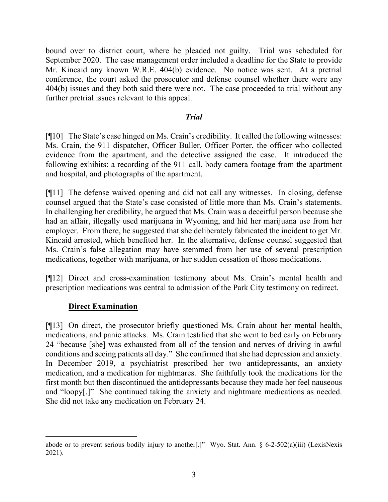bound over to district court, where he pleaded not guilty. Trial was scheduled for September 2020. The case management order included a deadline for the State to provide Mr. Kincaid any known W.R.E. 404(b) evidence. No notice was sent. At a pretrial conference, the court asked the prosecutor and defense counsel whether there were any 404(b) issues and they both said there were not. The case proceeded to trial without any further pretrial issues relevant to this appeal.

### *Trial*

[¶10] The State's case hinged on Ms. Crain's credibility. It called the following witnesses: Ms. Crain, the 911 dispatcher, Officer Buller, Officer Porter, the officer who collected evidence from the apartment, and the detective assigned the case. It introduced the following exhibits: a recording of the 911 call, body camera footage from the apartment and hospital, and photographs of the apartment.

[¶11] The defense waived opening and did not call any witnesses. In closing, defense counsel argued that the State's case consisted of little more than Ms. Crain's statements. In challenging her credibility, he argued that Ms. Crain was a deceitful person because she had an affair, illegally used marijuana in Wyoming, and hid her marijuana use from her employer. From there, he suggested that she deliberately fabricated the incident to get Mr. Kincaid arrested, which benefited her. In the alternative, defense counsel suggested that Ms. Crain's false allegation may have stemmed from her use of several prescription medications, together with marijuana, or her sudden cessation of those medications.

[¶12] Direct and cross-examination testimony about Ms. Crain's mental health and prescription medications was central to admission of the Park City testimony on redirect.

### **Direct Examination**

[¶13] On direct, the prosecutor briefly questioned Ms. Crain about her mental health, medications, and panic attacks. Ms. Crain testified that she went to bed early on February 24 "because [she] was exhausted from all of the tension and nerves of driving in awful conditions and seeing patients all day." She confirmed that she had depression and anxiety. In December 2019, a psychiatrist prescribed her two antidepressants, an anxiety medication, and a medication for nightmares. She faithfully took the medications for the first month but then discontinued the antidepressants because they made her feel nauseous and "loopy[.]" She continued taking the anxiety and nightmare medications as needed. She did not take any medication on February 24.

abode or to prevent serious bodily injury to another[.]" Wyo. Stat. Ann. § 6-2-502(a)(iii) (LexisNexis 2021).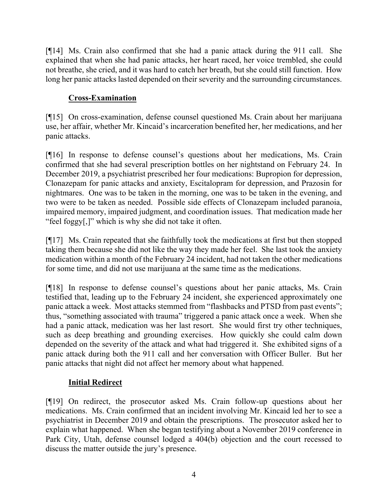[¶14] Ms. Crain also confirmed that she had a panic attack during the 911 call. She explained that when she had panic attacks, her heart raced, her voice trembled, she could not breathe, she cried, and it was hard to catch her breath, but she could still function. How long her panic attacks lasted depended on their severity and the surrounding circumstances.

# **Cross-Examination**

[¶15] On cross-examination, defense counsel questioned Ms. Crain about her marijuana use, her affair, whether Mr. Kincaid's incarceration benefited her, her medications, and her panic attacks.

[¶16] In response to defense counsel's questions about her medications, Ms. Crain confirmed that she had several prescription bottles on her nightstand on February 24. In December 2019, a psychiatrist prescribed her four medications: Bupropion for depression, Clonazepam for panic attacks and anxiety, Escitalopram for depression, and Prazosin for nightmares. One was to be taken in the morning, one was to be taken in the evening, and two were to be taken as needed. Possible side effects of Clonazepam included paranoia, impaired memory, impaired judgment, and coordination issues. That medication made her "feel foggy[,]" which is why she did not take it often.

[¶17] Ms. Crain repeated that she faithfully took the medications at first but then stopped taking them because she did not like the way they made her feel. She last took the anxiety medication within a month of the February 24 incident, had not taken the other medications for some time, and did not use marijuana at the same time as the medications.

[¶18] In response to defense counsel's questions about her panic attacks, Ms. Crain testified that, leading up to the February 24 incident, she experienced approximately one panic attack a week. Most attacks stemmed from "flashbacks and PTSD from past events"; thus, "something associated with trauma" triggered a panic attack once a week. When she had a panic attack, medication was her last resort. She would first try other techniques, such as deep breathing and grounding exercises. How quickly she could calm down depended on the severity of the attack and what had triggered it. She exhibited signs of a panic attack during both the 911 call and her conversation with Officer Buller. But her panic attacks that night did not affect her memory about what happened.

# **Initial Redirect**

[¶19] On redirect, the prosecutor asked Ms. Crain follow-up questions about her medications. Ms. Crain confirmed that an incident involving Mr. Kincaid led her to see a psychiatrist in December 2019 and obtain the prescriptions. The prosecutor asked her to explain what happened. When she began testifying about a November 2019 conference in Park City, Utah, defense counsel lodged a 404(b) objection and the court recessed to discuss the matter outside the jury's presence.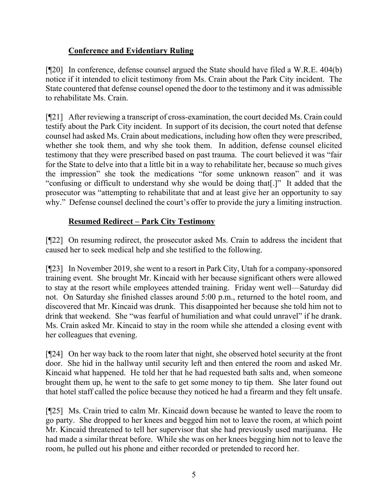# **Conference and Evidentiary Ruling**

[¶20] In conference, defense counsel argued the State should have filed a W.R.E. 404(b) notice if it intended to elicit testimony from Ms. Crain about the Park City incident. The State countered that defense counsel opened the door to the testimony and it was admissible to rehabilitate Ms. Crain.

[¶21] After reviewing a transcript of cross-examination, the court decided Ms. Crain could testify about the Park City incident. In support of its decision, the court noted that defense counsel had asked Ms. Crain about medications, including how often they were prescribed, whether she took them, and why she took them. In addition, defense counsel elicited testimony that they were prescribed based on past trauma. The court believed it was "fair for the State to delve into that a little bit in a way to rehabilitate her, because so much gives the impression" she took the medications "for some unknown reason" and it was "confusing or difficult to understand why she would be doing that[.]" It added that the prosecutor was "attempting to rehabilitate that and at least give her an opportunity to say why." Defense counsel declined the court's offer to provide the jury a limiting instruction.

# **Resumed Redirect – Park City Testimony**

[¶22] On resuming redirect, the prosecutor asked Ms. Crain to address the incident that caused her to seek medical help and she testified to the following.

[¶23] In November 2019, she went to a resort in Park City, Utah for a company-sponsored training event. She brought Mr. Kincaid with her because significant others were allowed to stay at the resort while employees attended training. Friday went well—Saturday did not. On Saturday she finished classes around 5:00 p.m., returned to the hotel room, and discovered that Mr. Kincaid was drunk. This disappointed her because she told him not to drink that weekend. She "was fearful of humiliation and what could unravel" if he drank. Ms. Crain asked Mr. Kincaid to stay in the room while she attended a closing event with her colleagues that evening.

[¶24] On her way back to the room later that night, she observed hotel security at the front door. She hid in the hallway until security left and then entered the room and asked Mr. Kincaid what happened. He told her that he had requested bath salts and, when someone brought them up, he went to the safe to get some money to tip them. She later found out that hotel staff called the police because they noticed he had a firearm and they felt unsafe.

[¶25] Ms. Crain tried to calm Mr. Kincaid down because he wanted to leave the room to go party. She dropped to her knees and begged him not to leave the room, at which point Mr. Kincaid threatened to tell her supervisor that she had previously used marijuana. He had made a similar threat before. While she was on her knees begging him not to leave the room, he pulled out his phone and either recorded or pretended to record her.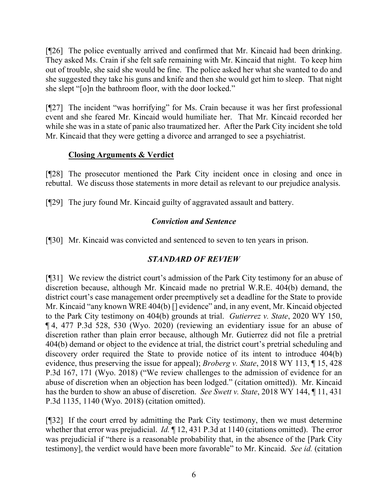[¶26] The police eventually arrived and confirmed that Mr. Kincaid had been drinking. They asked Ms. Crain if she felt safe remaining with Mr. Kincaid that night. To keep him out of trouble, she said she would be fine. The police asked her what she wanted to do and she suggested they take his guns and knife and then she would get him to sleep. That night she slept "[o]n the bathroom floor, with the door locked."

[¶27] The incident "was horrifying" for Ms. Crain because it was her first professional event and she feared Mr. Kincaid would humiliate her. That Mr. Kincaid recorded her while she was in a state of panic also traumatized her. After the Park City incident she told Mr. Kincaid that they were getting a divorce and arranged to see a psychiatrist.

# **Closing Arguments & Verdict**

[¶28] The prosecutor mentioned the Park City incident once in closing and once in rebuttal. We discuss those statements in more detail as relevant to our prejudice analysis.

[¶29] The jury found Mr. Kincaid guilty of aggravated assault and battery.

# *Conviction and Sentence*

[¶30] Mr. Kincaid was convicted and sentenced to seven to ten years in prison.

# *STANDARD OF REVIEW*

[¶31] We review the district court's admission of the Park City testimony for an abuse of discretion because, although Mr. Kincaid made no pretrial W.R.E. 404(b) demand, the district court's case management order preemptively set a deadline for the State to provide Mr. Kincaid "any known WRE 404(b) [] evidence" and, in any event, Mr. Kincaid objected to the Park City testimony on 404(b) grounds at trial. *Gutierrez v. State*, 2020 WY 150, ¶ 4, 477 P.3d 528, 530 (Wyo. 2020) (reviewing an evidentiary issue for an abuse of discretion rather than plain error because, although Mr. Gutierrez did not file a pretrial 404(b) demand or object to the evidence at trial, the district court's pretrial scheduling and discovery order required the State to provide notice of its intent to introduce 404(b) evidence, thus preserving the issue for appeal); *Broberg v. State*, 2018 WY 113, ¶ 15, 428 P.3d 167, 171 (Wyo. 2018) ("We review challenges to the admission of evidence for an abuse of discretion when an objection has been lodged." (citation omitted)). Mr. Kincaid has the burden to show an abuse of discretion. *See Swett v. State*, 2018 WY 144, ¶ 11, 431 P.3d 1135, 1140 (Wyo. 2018) (citation omitted).

[¶32] If the court erred by admitting the Park City testimony, then we must determine whether that error was prejudicial. *Id.* ¶ 12, 431 P.3d at 1140 (citations omitted). The error was prejudicial if "there is a reasonable probability that, in the absence of the [Park City testimony], the verdict would have been more favorable" to Mr. Kincaid. *See id.* (citation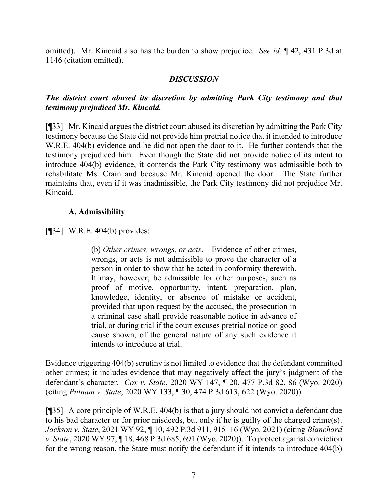omitted). Mr. Kincaid also has the burden to show prejudice. *See id.* ¶ 42, 431 P.3d at 1146 (citation omitted).

### *DISCUSSION*

# *The district court abused its discretion by admitting Park City testimony and that testimony prejudiced Mr. Kincaid.*

[¶33] Mr. Kincaid argues the district court abused its discretion by admitting the Park City testimony because the State did not provide him pretrial notice that it intended to introduce W.R.E. 404(b) evidence and he did not open the door to it. He further contends that the testimony prejudiced him. Even though the State did not provide notice of its intent to introduce 404(b) evidence, it contends the Park City testimony was admissible both to rehabilitate Ms. Crain and because Mr. Kincaid opened the door. The State further maintains that, even if it was inadmissible, the Park City testimony did not prejudice Mr. Kincaid.

### **A. Admissibility**

[¶34] W.R.E. 404(b) provides:

(b) *Other crimes, wrongs, or acts*. – Evidence of other crimes, wrongs, or acts is not admissible to prove the character of a person in order to show that he acted in conformity therewith. It may, however, be admissible for other purposes, such as proof of motive, opportunity, intent, preparation, plan, knowledge, identity, or absence of mistake or accident, provided that upon request by the accused, the prosecution in a criminal case shall provide reasonable notice in advance of trial, or during trial if the court excuses pretrial notice on good cause shown, of the general nature of any such evidence it intends to introduce at trial.

Evidence triggering 404(b) scrutiny is not limited to evidence that the defendant committed other crimes; it includes evidence that may negatively affect the jury's judgment of the defendant's character. *Cox v. State*, 2020 WY 147, ¶ 20, 477 P.3d 82, 86 (Wyo. 2020) (citing *Putnam v. State*, 2020 WY 133, ¶ 30, 474 P.3d 613, 622 (Wyo. 2020)).

[¶35] A core principle of W.R.E. 404(b) is that a jury should not convict a defendant due to his bad character or for prior misdeeds, but only if he is guilty of the charged crime(s). *Jackson v. State*, 2021 WY 92, ¶ 10, 492 P.3d 911, 915–16 (Wyo. 2021) (citing *Blanchard v. State*, 2020 WY 97, ¶ 18, 468 P.3d 685, 691 (Wyo. 2020)). To protect against conviction for the wrong reason, the State must notify the defendant if it intends to introduce 404(b)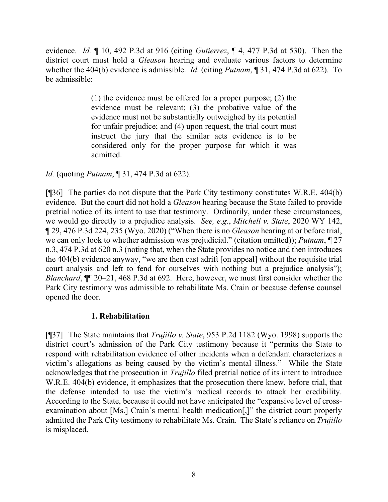evidence. *Id.* ¶ 10, 492 P.3d at 916 (citing *Gutierrez*, ¶ 4, 477 P.3d at 530). Then the district court must hold a *Gleason* hearing and evaluate various factors to determine whether the 404(b) evidence is admissible. *Id.* (citing *Putnam*, ¶ 31, 474 P.3d at 622). To be admissible:

> (1) the evidence must be offered for a proper purpose; (2) the evidence must be relevant; (3) the probative value of the evidence must not be substantially outweighed by its potential for unfair prejudice; and (4) upon request, the trial court must instruct the jury that the similar acts evidence is to be considered only for the proper purpose for which it was admitted.

### *Id.* (quoting *Putnam*, ¶ 31, 474 P.3d at 622).

[¶36] The parties do not dispute that the Park City testimony constitutes W.R.E. 404(b) evidence. But the court did not hold a *Gleason* hearing because the State failed to provide pretrial notice of its intent to use that testimony. Ordinarily, under these circumstances, we would go directly to a prejudice analysis. *See, e.g.*, *Mitchell v. State*, 2020 WY 142, ¶ 29, 476 P.3d 224, 235 (Wyo. 2020) ("When there is no *Gleason* hearing at or before trial, we can only look to whether admission was prejudicial." (citation omitted)); *Putnam*, ¶ 27 n.3, 474 P.3d at 620 n.3 (noting that, when the State provides no notice and then introduces the 404(b) evidence anyway, "we are then cast adrift [on appeal] without the requisite trial court analysis and left to fend for ourselves with nothing but a prejudice analysis"); *Blanchard*, ¶¶ 20–21, 468 P.3d at 692. Here, however, we must first consider whether the Park City testimony was admissible to rehabilitate Ms. Crain or because defense counsel opened the door.

#### **1. Rehabilitation**

[¶37] The State maintains that *Trujillo v. State*, 953 P.2d 1182 (Wyo. 1998) supports the district court's admission of the Park City testimony because it "permits the State to respond with rehabilitation evidence of other incidents when a defendant characterizes a victim's allegations as being caused by the victim's mental illness." While the State acknowledges that the prosecution in *Trujillo* filed pretrial notice of its intent to introduce W.R.E. 404(b) evidence, it emphasizes that the prosecution there knew, before trial, that the defense intended to use the victim's medical records to attack her credibility. According to the State, because it could not have anticipated the "expansive level of crossexamination about [Ms.] Crain's mental health medication[,]" the district court properly admitted the Park City testimony to rehabilitate Ms. Crain. The State's reliance on *Trujillo*  is misplaced.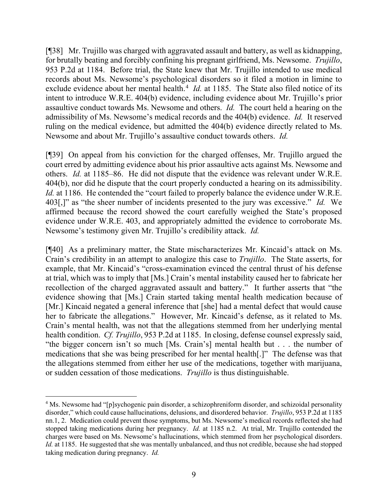[¶38] Mr. Trujillo was charged with aggravated assault and battery, as well as kidnapping, for brutally beating and forcibly confining his pregnant girlfriend, Ms. Newsome. *Trujillo*, 953 P.2d at 1184. Before trial, the State knew that Mr. Trujillo intended to use medical records about Ms. Newsome's psychological disorders so it filed a motion in limine to exclude evidence about her mental health.<sup>[4](#page-9-0)</sup> *Id.* at 1185. The State also filed notice of its intent to introduce W.R.E. 404(b) evidence, including evidence about Mr. Trujillo's prior assaultive conduct towards Ms. Newsome and others. *Id.* The court held a hearing on the admissibility of Ms. Newsome's medical records and the 404(b) evidence. *Id.* It reserved ruling on the medical evidence, but admitted the 404(b) evidence directly related to Ms. Newsome and about Mr. Trujillo's assaultive conduct towards others. *Id.*

[¶39] On appeal from his conviction for the charged offenses, Mr. Trujillo argued the court erred by admitting evidence about his prior assaultive acts against Ms. Newsome and others. *Id.* at 1185–86. He did not dispute that the evidence was relevant under W.R.E. 404(b), nor did he dispute that the court properly conducted a hearing on its admissibility. *Id.* at 1186. He contended the "court failed to properly balance the evidence under W.R.E. 403[,]" as "the sheer number of incidents presented to the jury was excessive." *Id.* We affirmed because the record showed the court carefully weighed the State's proposed evidence under W.R.E. 403, and appropriately admitted the evidence to corroborate Ms. Newsome's testimony given Mr. Trujillo's credibility attack. *Id.*

[¶40] As a preliminary matter, the State mischaracterizes Mr. Kincaid's attack on Ms. Crain's credibility in an attempt to analogize this case to *Trujillo*. The State asserts, for example, that Mr. Kincaid's "cross-examination evinced the central thrust of his defense at trial, which was to imply that [Ms.] Crain's mental instability caused her to fabricate her recollection of the charged aggravated assault and battery." It further asserts that "the evidence showing that [Ms.] Crain started taking mental health medication because of [Mr.] Kincaid negated a general inference that [she] had a mental defect that would cause her to fabricate the allegations." However, Mr. Kincaid's defense, as it related to Ms. Crain's mental health, was not that the allegations stemmed from her underlying mental health condition. *Cf. Trujillo*, 953 P.2d at 1185. In closing, defense counsel expressly said, "the bigger concern isn't so much [Ms. Crain's] mental health but . . . the number of medications that she was being prescribed for her mental health[.]" The defense was that the allegations stemmed from either her use of the medications, together with marijuana, or sudden cessation of those medications. *Trujillo* is thus distinguishable.

<span id="page-9-0"></span><sup>&</sup>lt;sup>4</sup> Ms. Newsome had "[p]sychogenic pain disorder, a schizophreniform disorder, and schizoidal personality disorder," which could cause hallucinations, delusions, and disordered behavior. *Trujillo*, 953 P.2d at 1185 nn.1, 2. Medication could prevent those symptoms, but Ms. Newsome's medical records reflected she had stopped taking medications during her pregnancy. *Id.* at 1185 n.2. At trial, Mr. Trujillo contended the charges were based on Ms. Newsome's hallucinations, which stemmed from her psychological disorders. *Id.* at 1185. He suggested that she was mentally unbalanced, and thus not credible, because she had stopped taking medication during pregnancy. *Id.*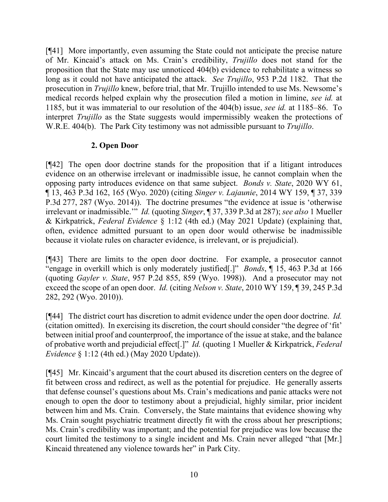[¶41] More importantly, even assuming the State could not anticipate the precise nature of Mr. Kincaid's attack on Ms. Crain's credibility, *Trujillo* does not stand for the proposition that the State may use unnoticed 404(b) evidence to rehabilitate a witness so long as it could not have anticipated the attack. *See Trujillo*, 953 P.2d 1182. That the prosecution in *Trujillo* knew, before trial, that Mr. Trujillo intended to use Ms. Newsome's medical records helped explain why the prosecution filed a motion in limine, *see id.* at 1185, but it was immaterial to our resolution of the 404(b) issue, *see id.* at 1185–86. To interpret *Trujillo* as the State suggests would impermissibly weaken the protections of W.R.E. 404(b). The Park City testimony was not admissible pursuant to *Trujillo*.

# **2. Open Door**

[¶42] The open door doctrine stands for the proposition that if a litigant introduces evidence on an otherwise irrelevant or inadmissible issue, he cannot complain when the opposing party introduces evidence on that same subject. *Bonds v. State*, 2020 WY 61, ¶ 13, 463 P.3d 162, 165 (Wyo. 2020) (citing *Singer v. Lajaunie*, 2014 WY 159, ¶ 37, 339 P.3d 277, 287 (Wyo. 2014)). The doctrine presumes "the evidence at issue is 'otherwise irrelevant or inadmissible.'" *Id.* (quoting *Singer*, ¶ 37, 339 P.3d at 287); *see also* 1 Mueller & Kirkpatrick, *Federal Evidence* § 1:12 (4th ed.) (May 2021 Update) (explaining that, often, evidence admitted pursuant to an open door would otherwise be inadmissible because it violate rules on character evidence, is irrelevant, or is prejudicial).

[¶43] There are limits to the open door doctrine. For example, a prosecutor cannot "engage in overkill which is only moderately justified[.]" *Bonds*, ¶ 15, 463 P.3d at 166 (quoting *Gayler v. State*, 957 P.2d 855, 859 (Wyo. 1998)). And a prosecutor may not exceed the scope of an open door. *Id.* (citing *Nelson v. State*, 2010 WY 159, ¶ 39, 245 P.3d 282, 292 (Wyo. 2010)).

[¶44] The district court has discretion to admit evidence under the open door doctrine. *Id.* (citation omitted). In exercising its discretion, the court should consider "the degree of 'fit' between initial proof and counterproof, the importance of the issue at stake, and the balance of probative worth and prejudicial effect[.]" *Id.* (quoting 1 Mueller & Kirkpatrick, *Federal Evidence* § 1:12 (4th ed.) (May 2020 Update)).

[¶45] Mr. Kincaid's argument that the court abused its discretion centers on the degree of fit between cross and redirect, as well as the potential for prejudice. He generally asserts that defense counsel's questions about Ms. Crain's medications and panic attacks were not enough to open the door to testimony about a prejudicial, highly similar, prior incident between him and Ms. Crain. Conversely, the State maintains that evidence showing why Ms. Crain sought psychiatric treatment directly fit with the cross about her prescriptions; Ms. Crain's credibility was important; and the potential for prejudice was low because the court limited the testimony to a single incident and Ms. Crain never alleged "that [Mr.] Kincaid threatened any violence towards her" in Park City.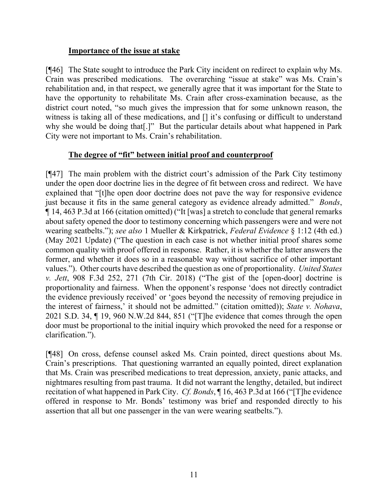### **Importance of the issue at stake**

[¶46] The State sought to introduce the Park City incident on redirect to explain why Ms. Crain was prescribed medications. The overarching "issue at stake" was Ms. Crain's rehabilitation and, in that respect, we generally agree that it was important for the State to have the opportunity to rehabilitate Ms. Crain after cross-examination because, as the district court noted, "so much gives the impression that for some unknown reason, the witness is taking all of these medications, and [] it's confusing or difficult to understand why she would be doing that[.]" But the particular details about what happened in Park City were not important to Ms. Crain's rehabilitation.

### **The degree of "fit" between initial proof and counterproof**

[¶47] The main problem with the district court's admission of the Park City testimony under the open door doctrine lies in the degree of fit between cross and redirect. We have explained that "[t]he open door doctrine does not pave the way for responsive evidence just because it fits in the same general category as evidence already admitted." *Bonds*, ¶ 14, 463 P.3d at 166 (citation omitted) ("It [was] a stretch to conclude that general remarks about safety opened the door to testimony concerning which passengers were and were not wearing seatbelts."); *see also* 1 Mueller & Kirkpatrick, *Federal Evidence* § 1:12 (4th ed.) (May 2021 Update) ("The question in each case is not whether initial proof shares some common quality with proof offered in response. Rather, it is whether the latter answers the former, and whether it does so in a reasonable way without sacrifice of other important values."). Other courts have described the question as one of proportionality. *United States v. Jett*, 908 F.3d 252, 271 (7th Cir. 2018) ("The gist of the [open-door] doctrine is proportionality and fairness. When the opponent's response 'does not directly contradict the evidence previously received' or 'goes beyond the necessity of removing prejudice in the interest of fairness,' it should not be admitted." (citation omitted)); *State v. Nohava*, 2021 S.D. 34, ¶ 19, 960 N.W.2d 844, 851 ("[T]he evidence that comes through the open door must be proportional to the initial inquiry which provoked the need for a response or clarification.").

[¶48] On cross, defense counsel asked Ms. Crain pointed, direct questions about Ms. Crain's prescriptions. That questioning warranted an equally pointed, direct explanation that Ms. Crain was prescribed medications to treat depression, anxiety, panic attacks, and nightmares resulting from past trauma. It did not warrant the lengthy, detailed, but indirect recitation of what happened in Park City. *Cf. Bonds*, ¶ 16, 463 P.3d at 166 ("[T]he evidence offered in response to Mr. Bonds' testimony was brief and responded directly to his assertion that all but one passenger in the van were wearing seatbelts.").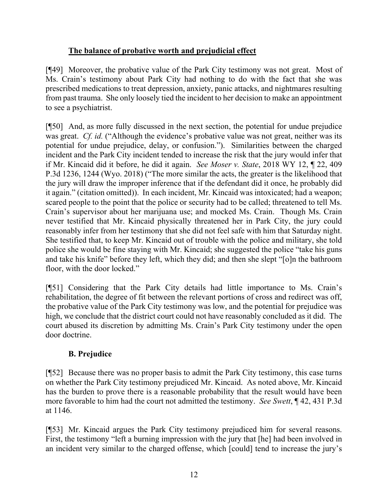# **The balance of probative worth and prejudicial effect**

[¶49] Moreover, the probative value of the Park City testimony was not great. Most of Ms. Crain's testimony about Park City had nothing to do with the fact that she was prescribed medications to treat depression, anxiety, panic attacks, and nightmares resulting from past trauma. She only loosely tied the incident to her decision to make an appointment to see a psychiatrist.

[¶50] And, as more fully discussed in the next section, the potential for undue prejudice was great. *Cf. id.* ("Although the evidence's probative value was not great, neither was its potential for undue prejudice, delay, or confusion."). Similarities between the charged incident and the Park City incident tended to increase the risk that the jury would infer that if Mr. Kincaid did it before, he did it again. *See Moser v. State*, 2018 WY 12, ¶ 22, 409 P.3d 1236, 1244 (Wyo. 2018) ("The more similar the acts, the greater is the likelihood that the jury will draw the improper inference that if the defendant did it once, he probably did it again." (citation omitted)). In each incident, Mr. Kincaid was intoxicated; had a weapon; scared people to the point that the police or security had to be called; threatened to tell Ms. Crain's supervisor about her marijuana use; and mocked Ms. Crain. Though Ms. Crain never testified that Mr. Kincaid physically threatened her in Park City, the jury could reasonably infer from her testimony that she did not feel safe with him that Saturday night. She testified that, to keep Mr. Kincaid out of trouble with the police and military, she told police she would be fine staying with Mr. Kincaid; she suggested the police "take his guns and take his knife" before they left, which they did; and then she slept "[o]n the bathroom floor, with the door locked."

[¶51] Considering that the Park City details had little importance to Ms. Crain's rehabilitation, the degree of fit between the relevant portions of cross and redirect was off, the probative value of the Park City testimony was low, and the potential for prejudice was high, we conclude that the district court could not have reasonably concluded as it did. The court abused its discretion by admitting Ms. Crain's Park City testimony under the open door doctrine.

# **B. Prejudice**

[¶52] Because there was no proper basis to admit the Park City testimony, this case turns on whether the Park City testimony prejudiced Mr. Kincaid. As noted above, Mr. Kincaid has the burden to prove there is a reasonable probability that the result would have been more favorable to him had the court not admitted the testimony. *See Swett*, ¶ 42, 431 P.3d at 1146.

[¶53] Mr. Kincaid argues the Park City testimony prejudiced him for several reasons. First, the testimony "left a burning impression with the jury that [he] had been involved in an incident very similar to the charged offense, which [could] tend to increase the jury's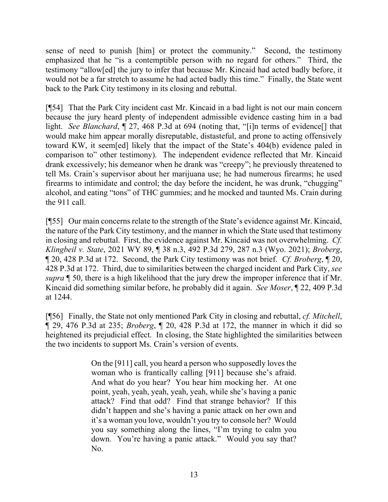sense of need to punish [him] or protect the community." Second, the testimony emphasized that he "is a contemptible person with no regard for others." Third, the testimony "allow[ed] the jury to infer that because Mr. Kincaid had acted badly before, it would not be a far stretch to assume he had acted badly this time." Finally, the State went back to the Park City testimony in its closing and rebuttal.

[¶54] That the Park City incident cast Mr. Kincaid in a bad light is not our main concern because the jury heard plenty of independent admissible evidence casting him in a bad light. *See Blanchard*, ¶ 27, 468 P.3d at 694 (noting that, "[i]n terms of evidence[] that would make him appear morally disreputable, distasteful, and prone to acting offensively toward KW, it seem[ed] likely that the impact of the State's 404(b) evidence paled in comparison to" other testimony). The independent evidence reflected that Mr. Kincaid drank excessively; his demeanor when he drank was "creepy"; he previously threatened to tell Ms. Crain's supervisor about her marijuana use; he had numerous firearms; he used firearms to intimidate and control; the day before the incident, he was drunk, "chugging" alcohol, and eating "tons" of THC gummies; and he mocked and taunted Ms. Crain during the 911 call.

[¶55] Our main concerns relate to the strength of the State's evidence against Mr. Kincaid, the nature of the Park City testimony, and the manner in which the State used that testimony in closing and rebuttal. First, the evidence against Mr. Kincaid was not overwhelming. *Cf. Klingbeil v. State*, 2021 WY 89, ¶ 38 n.3, 492 P.3d 279, 287 n.3 (Wyo. 2021); *Broberg*, ¶ 20, 428 P.3d at 172. Second, the Park City testimony was not brief. *Cf. Broberg*, ¶ 20, 428 P.3d at 172.Third, due to similarities between the charged incident and Park City, *see supra* ¶ 50, there is a high likelihood that the jury drew the improper inference that if Mr. Kincaid did something similar before, he probably did it again. *See Moser*, ¶ 22, 409 P.3d at 1244.

[¶56] Finally, the State not only mentioned Park City in closing and rebuttal, *cf. Mitchell*, ¶ 29, 476 P.3d at 235; *Broberg*, ¶ 20, 428 P.3d at 172, the manner in which it did so heightened its prejudicial effect. In closing, the State highlighted the similarities between the two incidents to support Ms. Crain's version of events.

> On the [911] call, you heard a person who supposedly loves the woman who is frantically calling [911] because she's afraid. And what do you hear? You hear him mocking her. At one point, yeah, yeah, yeah, yeah, yeah, while she's having a panic attack? Find that odd? Find that strange behavior? If this didn't happen and she's having a panic attack on her own and it's a woman you love, wouldn't you try to console her? Would you say something along the lines, "I'm trying to calm you down. You're having a panic attack." Would you say that? No.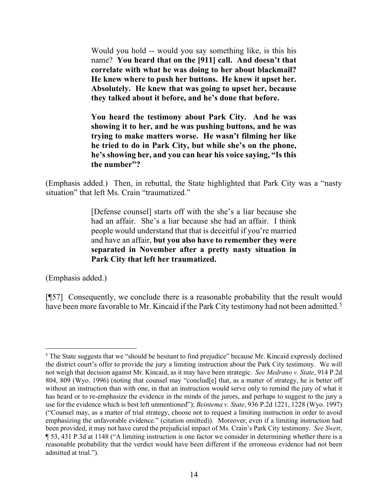Would you hold -- would you say something like, is this his name? **You heard that on the [911] call. And doesn't that correlate with what he was doing to her about blackmail? He knew where to push her buttons. He knew it upset her. Absolutely. He knew that was going to upset her, because they talked about it before, and he's done that before.**

**You heard the testimony about Park City. And he was showing it to her, and he was pushing buttons, and he was trying to make matters worse. He wasn't filming her like he tried to do in Park City, but while she's on the phone, he's showing her, and you can hear his voice saying, "Is this the number"?**

(Emphasis added.) Then, in rebuttal, the State highlighted that Park City was a "nasty situation" that left Ms. Crain "traumatized."

> [Defense counsel] starts off with the she's a liar because she had an affair. She's a liar because she had an affair. I think people would understand that that is deceitful if you're married and have an affair, **but you also have to remember they were separated in November after a pretty nasty situation in Park City that left her traumatized.**

(Emphasis added.)

[¶57] Consequently, we conclude there is a reasonable probability that the result would have been more favorable to Mr. Kincaid if the Park City testimony had not been admitted.<sup>[5](#page-14-0)</sup>

<span id="page-14-0"></span> $<sup>5</sup>$  The State suggests that we "should be hesitant to find prejudice" because Mr. Kincaid expressly declined</sup> the district court's offer to provide the jury a limiting instruction about the Park City testimony. We will not weigh that decision against Mr. Kincaid, as it may have been strategic. *See Medrano v. State*, 914 P.2d 804, 809 (Wyo. 1996) (noting that counsel may "conclud[e] that, as a matter of strategy, he is better off without an instruction than with one, in that an instruction would serve only to remind the jury of what it has heard or to re-emphasize the evidence in the minds of the jurors, and perhaps to suggest to the jury a use for the evidence which is best left unmentioned"); *Beintema v. State*, 936 P.2d 1221, 1228 (Wyo. 1997) ("Counsel may, as a matter of trial strategy, choose not to request a limiting instruction in order to avoid emphasizing the unfavorable evidence." (citation omitted)). Moreover, even if a limiting instruction had been provided, it may not have cured the prejudicial impact of Ms. Crain's Park City testimony. *See Swett*, ¶ 53, 431 P.3d at 1148 ("A limiting instruction is one factor we consider in determining whether there is a reasonable probability that the verdict would have been different if the erroneous evidence had not been admitted at trial.").